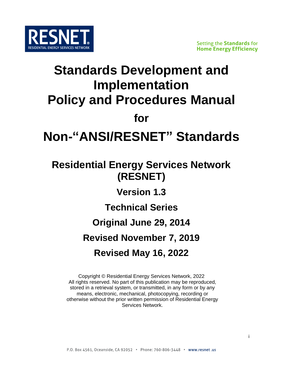

## **Standards Development and Implementation Policy and Procedures Manual**

**for**

# **Non-"ANSI/RESNET" Standards**

## **Residential Energy Services Network (RESNET)**

**Version 1.3**

**Technical Series** 

**Original June 29, 2014**

**Revised November 7, 2019**

### **Revised May 16, 2022**

Copyright © Residential Energy Services Network, 2022 All rights reserved. No part of this publication may be reproduced, stored in a retrieval system, or transmitted, in any form or by any means, electronic, mechanical, photocopying, recording or otherwise without the prior written permission of Residential Energy Services Network.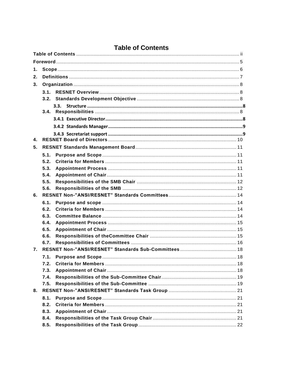### **Table of Contents**

<span id="page-1-0"></span>

| 1.             |              |  |
|----------------|--------------|--|
| 2.             |              |  |
| 3.             |              |  |
|                | 3.1          |  |
|                |              |  |
|                | 3.3.         |  |
|                |              |  |
|                |              |  |
|                |              |  |
|                |              |  |
| $\mathbf{4}$ . |              |  |
| 5.             |              |  |
|                | 5.1.         |  |
|                | 5.2.         |  |
|                | 5.3.         |  |
|                | 5.4.         |  |
|                | 5.5.         |  |
|                | 5.6.         |  |
| 6.             |              |  |
|                | 6.1.         |  |
|                | 6.2.         |  |
|                | 6.3.         |  |
|                | 6.4.<br>6.5. |  |
|                | 6.6.         |  |
|                | 6.7.         |  |
| 7.             |              |  |
|                |              |  |
|                | 7.2.         |  |
|                | 7.3.         |  |
|                | 7.4.         |  |
|                | 7.5.         |  |
| 8.             |              |  |
|                | 8.1.         |  |
|                | 8.2.         |  |
|                | 8.3.         |  |
|                | 8.4.         |  |
|                | 8.5.         |  |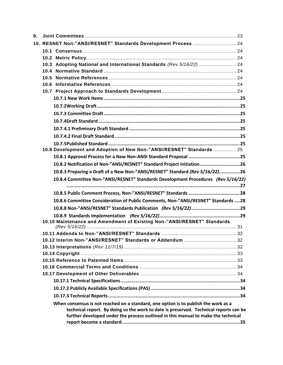| 9. |                                                                                                                                                                            |  |
|----|----------------------------------------------------------------------------------------------------------------------------------------------------------------------------|--|
|    | 10. RESNET Non-"ANSI/RESNET" Standards Development Process  24                                                                                                             |  |
|    |                                                                                                                                                                            |  |
|    |                                                                                                                                                                            |  |
|    | 10.3 Adopting National and International Standards (Rev 5/16/22)  24                                                                                                       |  |
|    |                                                                                                                                                                            |  |
|    |                                                                                                                                                                            |  |
|    |                                                                                                                                                                            |  |
|    |                                                                                                                                                                            |  |
|    |                                                                                                                                                                            |  |
|    |                                                                                                                                                                            |  |
|    |                                                                                                                                                                            |  |
|    |                                                                                                                                                                            |  |
|    |                                                                                                                                                                            |  |
|    |                                                                                                                                                                            |  |
|    |                                                                                                                                                                            |  |
|    | 10.8 Development and Adoption of New Non-"ANSI/RESNET" Standards  25                                                                                                       |  |
|    |                                                                                                                                                                            |  |
|    | 10.8.2 Notification of Non-"ANSI/RESNET" Standard Project Initiation26                                                                                                     |  |
|    | 10.8.3 Preparing a Draft of a New Non-"ANSI/RESNET" Standard (Rev 5/16/22)26                                                                                               |  |
|    | 10.8.4 Committee Non-"ANSI/RESNET" Standards Development Procedures (Rev 5/16/22)                                                                                          |  |
|    |                                                                                                                                                                            |  |
|    |                                                                                                                                                                            |  |
|    | 10.8.6 Committee Consideration of Public Comments, Non-"ANSI/RESNET" Standards  28                                                                                         |  |
|    |                                                                                                                                                                            |  |
|    |                                                                                                                                                                            |  |
|    | 10.10 Maintenance and Amendment of Existing Non-"ANSI/RESNET" Standards                                                                                                    |  |
|    |                                                                                                                                                                            |  |
|    |                                                                                                                                                                            |  |
|    | 10.12 Interim Non-"ANSI/RESNET" Standards or Addendum  32                                                                                                                  |  |
|    |                                                                                                                                                                            |  |
|    |                                                                                                                                                                            |  |
|    |                                                                                                                                                                            |  |
|    |                                                                                                                                                                            |  |
|    |                                                                                                                                                                            |  |
|    |                                                                                                                                                                            |  |
|    |                                                                                                                                                                            |  |
|    |                                                                                                                                                                            |  |
|    | When consensus is not reached on a standard, one option is to publish the work as a                                                                                        |  |
|    | technical report. By doing so the work to date is preserved. Technical reports can be<br>further developed under the process outlined in this manual to make the technical |  |
|    |                                                                                                                                                                            |  |
|    |                                                                                                                                                                            |  |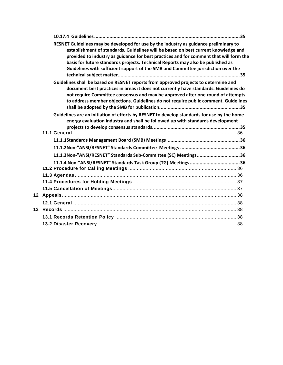| RESNET Guidelines may be developed for use by the industry as guidance preliminary to<br>establishment of standards. Guidelines will be based on best current knowledge and<br>provided to industry as guidance for best practices and for comment that will form the<br>basis for future standards projects. Technical Reports may also be published as<br>Guidelines with sufficient support of the SMB and Committee jurisdiction over the |  |
|-----------------------------------------------------------------------------------------------------------------------------------------------------------------------------------------------------------------------------------------------------------------------------------------------------------------------------------------------------------------------------------------------------------------------------------------------|--|
| Guidelines shall be based on RESNET reports from approved projects to determine and<br>document best practices in areas it does not currently have standards. Guidelines do<br>not require Committee consensus and may be approved after one round of attempts<br>to address member objections. Guidelines do not require public comment. Guidelines                                                                                          |  |
| Guidelines are an initiation of efforts by RESNET to develop standards for use by the home<br>energy evaluation industry and shall be followed up with standards development                                                                                                                                                                                                                                                                  |  |
|                                                                                                                                                                                                                                                                                                                                                                                                                                               |  |
|                                                                                                                                                                                                                                                                                                                                                                                                                                               |  |
| 11.1.3Non-"ANSI/RESNET" Standards Sub-Committee (SC) Meetings36                                                                                                                                                                                                                                                                                                                                                                               |  |
|                                                                                                                                                                                                                                                                                                                                                                                                                                               |  |
|                                                                                                                                                                                                                                                                                                                                                                                                                                               |  |
|                                                                                                                                                                                                                                                                                                                                                                                                                                               |  |
|                                                                                                                                                                                                                                                                                                                                                                                                                                               |  |
|                                                                                                                                                                                                                                                                                                                                                                                                                                               |  |
|                                                                                                                                                                                                                                                                                                                                                                                                                                               |  |
|                                                                                                                                                                                                                                                                                                                                                                                                                                               |  |
|                                                                                                                                                                                                                                                                                                                                                                                                                                               |  |
|                                                                                                                                                                                                                                                                                                                                                                                                                                               |  |
|                                                                                                                                                                                                                                                                                                                                                                                                                                               |  |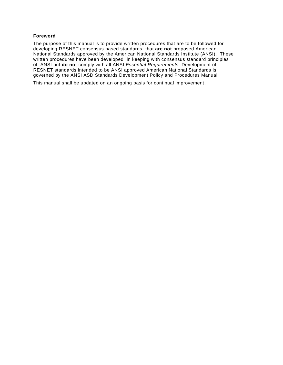#### <span id="page-4-0"></span>**Foreword**

The purpose of this manual is to provide written procedures that are to be followed for developing RESNET consensus based standards that **are not** proposed American National Standards approved by the American National Standards Institute (ANSI). These written procedures have been developed in keeping with consensus standard principles of ANSI but **do not** comply with all ANSI *Essential Requirements.* Development of RESNET standards intended to be ANSI approved American National Standards is governed by the ANSI ASD Standards Development Policy and Procedures Manual.

This manual shall be updated on an ongoing basis for continual improvement.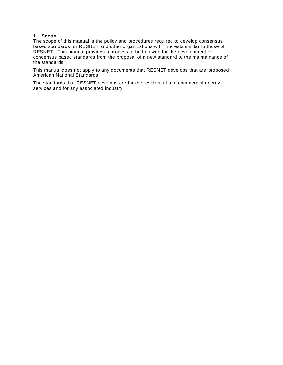#### <span id="page-5-0"></span>**1. Scope**

The scope of this manual is the policy and procedures required to develop consensus based standards for RESNET and other organizations with interests similar to those of RESNET. This manual provides a process to be followed for the development of concensus based standards from the proposal of a new standard to the maintainance of the standards.

This manual does not apply to any documents that RESNET develops that are proposed American National Standards.

The standards that RESNET develops are for the residential and commercial energy services and for any associated industry.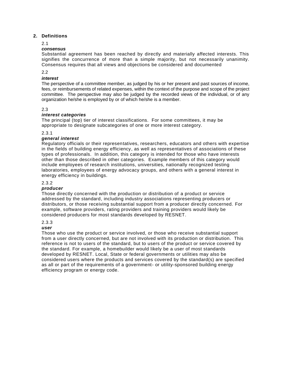#### <span id="page-6-0"></span>**2. Definitions**

2.1

#### *consensus*

Substantial agreement has been reached by directly and materially affected interests. This signifies the concurrence of more than a simple majority, but not necessarily unanimity. Consensus requires that all views and objections be considered and documented

#### $2.2<sub>2</sub>$

#### *interest*

The perspective of a committee member, as judged by his or her present and past sources of income, fees, or reimbursements of related expenses, within the context of the purpose and scope of the project committee. The perspective may also be judged by the recorded views of the individual, or of any organization he/she is employed by or of which he/she is a member.

#### 2.3

#### *interest categories*

The principal (top) tier of interest classifications. For some committees, it may be appropriate to designate subcategories of one or more interest category.

2.3.1

#### *general interest*

Regulatory officials or their representatives, researchers, educators and others with expertise in the fields of building energy efficiency, as well as representatives of associations of these types of professionals. In addition, this category is intended for those who have interests other than those described in other categories. Example members of this category would include employees of research institutions, universities, nationally recognized testing laboratories, employees of energy advocacy groups, and others with a general interest in energy efficiency in buildings.

#### 2.3.2

#### *producer*

Those directly concerned with the production or distribution of a product or service addressed by the standard, including industry associations representing producers or distributors, or those receiving substantial support from a producer directly concerned. For example, software providers, rating providers and training providers would likely be considered producers for most standards developed by RESNET.

#### 2.3.3

#### *user*

Those who use the product or service involved, or those who receive substantial support from a user directly concerned, but are not involved with its production or distribution. This reference is not to users of the standard, but to users of the product or service covered by the standard. For example, a homebuilder would likely be a user of most standards developed by RESNET. Local, State or federal governments or utilities may also be considered users where the products and services covered by the standard(s) are specified as all or part of the requirements of a government- or utility-sponsored building energy efficiency program or energy code.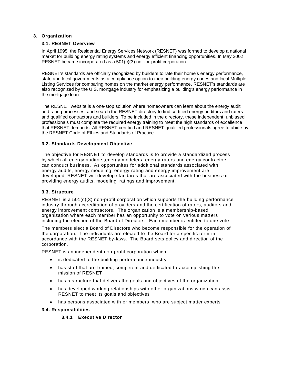#### <span id="page-7-1"></span><span id="page-7-0"></span>**3. Organization**

#### **3.1. RESNET Overview**

In April 1995, the Residential Energy Services Network (RESNET) was formed to develop a national market for building energy rating systems and energy efficient financing opportunities. In May 2002 RESNET became incorporated as a 501(c)(3) not-for-profit corporation.

RESNET's standards are officially recognized by builders to rate their home's energy performance, state and local governments as a compliance option to their building energy codes and local Multiple Listing Services for comparing homes on the market energy performance. RESNET's standards are also recognized by the U.S. mortgage industry for emphasizing a building's energy performance in the mortgage loan.

The RESNET website is a one-stop solution where homeowners can learn about the energy audit and rating processes, and search the RESNET directory to find certified energy auditors and raters and qualified contractors and builders. To be included in the directory, these independent, unbiased professionals must complete the required energy training to meet the high standards of excellence that RESNET demands. All RESNET-certified and RESNET-qualified professionals agree to abide by the RESNET Code of Ethics and Standards of Practice.

#### <span id="page-7-2"></span>**3.2. Standards Development Objective**

The objective for RESNET to develop standards is to provide a standardized process by which all energy auditors,energy modelers, energy raters and energy contractors can conduct business. As opportunites for additional standards associated with energy audits, energy modeling, energy rating and energy improvement are developed, RESNET will develop standards that are associated with the business of providing energy audits, modeling, ratings and improvement.

#### <span id="page-7-3"></span>**3.3. Structure**

RESNET is a 501(c)(3) non-profit corporation which supports the building performance industry through accreditation of providers and the certification of raters, auditors and energy improvement contractors. The organization is a membership-based organization where each member has an opportunity to vote on various matters including the election of the Board of Directors. Each member is entitled to one vote.

The members elect a Board of Directors who become responsible for the operation of the corporation. The individuals are elected to the Board for a specific term in accordance with the RESNET by-laws. The Board sets policy and direction of the corporation.

RESNET is an independent non-profit corporation which:

- is dedicated to the building performance industry
- has staff that are trained, competent and dedicated to accomplishing the mission of RESNET
- has a structure that delivers the goals and objectives of the organization
- has developed working relationships with other organizations which can assist RESNET to meet its goals and objectives
- has persons associated with or members who are subject matter experts

#### <span id="page-7-5"></span><span id="page-7-4"></span>**3.4. Responsibilities**

#### **3.4.1 Executive Director**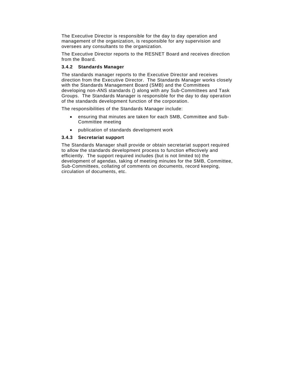The Executive Director is responsible for the day to day operation and management of the organization, is responsible for any supervision and oversees any consultants to the organization.

The Executive Director reports to the RESNET Board and receives direction from the Board.

#### <span id="page-8-0"></span>**3.4.2 Standards Manager**

The standards manager reports to the Executive Director and receives direction from the Executive Director. The Standards Manager works closely with the Standards Management Board (SMB) and the Committees developing non-ANS standards () along with any Sub-Committees and Task Groups. The Standards Manager is responsible for the day to day operation of the standards development function of the corporation.

The responsibilities of the Standards Manager include:

- ensuring that minutes are taken for each SMB, Committee and Sub-Committee meeting
- publication of standards development work

#### <span id="page-8-1"></span>**3.4.3 Secretariat support**

The Standards Manager shall provide or obtain secretariat support required to allow the standards development process to function effectively and efficiently. The support required includes (but is not limited to) the development of agendas, taking of meeting minutes for the SMB, Committee, Sub-Committees, collating of comments on documents, record keeping, circulation of documents, etc.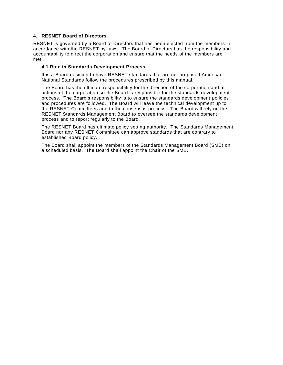#### <span id="page-9-0"></span>**4. RESNET Board of Directors**

RESNET is governed by a Board of Directors that has been elected from the members in accordance with the RESNET by-laws. The Board of Directors has the responsibility and accountability to direct the corporation and ensure that the needs of the members are met.

#### **4.1 Role in Standards Development Process**

It is a Board decision to have RESNET standards that are not proposed American National Standards follow the procedures prescribed by this manual.

The Board has the ultimate responsibility for the direction of the corporation and all actions of the corporation so the Board is responsible for the standards development process. The Board's responsibility is to ensure the standards development policies and procedures are followed. The Board will leave the technical development up to the RESNET Committees and to the consensus process. The Board will rely on the RESNET Standards Management Board to oversee the standards development process and to report regularly to the Board.

The RESNET Board has ultimate policy setting authority. The Standards Management Board nor any RESNET Committee can approve standards that are contrary to established Board policy.

The Board shall appoint the members of the Standards Management Board (SMB) on a scheduled basis. The Board shall appoint the Chair of the SMB.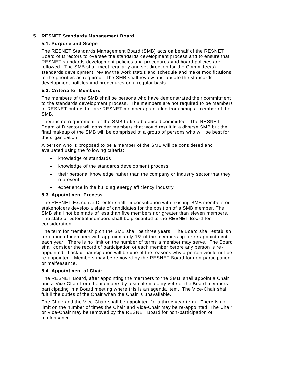#### <span id="page-10-1"></span><span id="page-10-0"></span>**5. RESNET Standards Management Board**

#### **5.1. Purpose and Scope**

The RESNET Standards Management Board (SMB) acts on behalf of the RESNET Board of Directors to oversee the standards development process and to ensure that RESNET standards development policies and procedures and board policies are followed. The SMB shall meet regularly and set direction for the Committee(s) standards development, review the work status and schedule and make modifications to the priorities as required. The SMB shall review and update the standards development policies and procedures on a regular basis.

#### <span id="page-10-2"></span>**5.2. Criteria for Members**

The members of the SMB shall be persons who have demonstrated their commitment to the standards development process. The members are not required to be members of RESNET but neither are RESNET members precluded from being a member of the SMB.

There is no requirement for the SMB to be a balanced committee. The RESNET Board of Directors will consider members that would result in a diverse SMB but the final makeup of the SMB will be comprised of a group of persons who will be best for the organization.

A person who is proposed to be a member of the SMB will be considered and evaluated using the following criteria:

- knowledge of standards
- knowledge of the standards development process
- their personal knowledge rather than the company or industry sector that they represent
- experience in the building energy efficiency industry

#### <span id="page-10-3"></span>**5.3. Appointment Process**

The RESNET Executive Director shall, in consultation with existing SMB members or stakeholders develop a slate of candidates for the position of a SMB member. The SMB shall not be made of less than five members nor greater than eleven members. The slate of potential members shall be presented to the RESNET Board for consideration.

The term for membership on the SMB shall be three years. The Board shall establish a rotation of members with approximately 1/3 of the members up for re-appointment each year. There is no limit on the number of terms a member may serve. The Board shall consider the record of participation of each member before any person is re appointed. Lack of participation will be one of the reasons why a person would not be re-appointed. Members may be removed by the RESNET Board for non-participation or malfeasance.

#### <span id="page-10-4"></span>**5.4. Appointment of Chair**

The RESNET Board, after appointing the members to the SMB, shall appoint a Chair and a Vice Chair from the members by a simple majority vote of the Board members participating in a Board meeting where this is an agenda item. The Vice-Chair shall fulfill the duties of the Chair when the Chair is unavailable.

The Chair and the Vice-Chair shall be appointed for a three year term. There is no limit on the number of times the Chair and Vice-Chair may be re-appointed. The Chair or Vice-Chair may be removed by the RESNET Board for non-participation or malfeasance.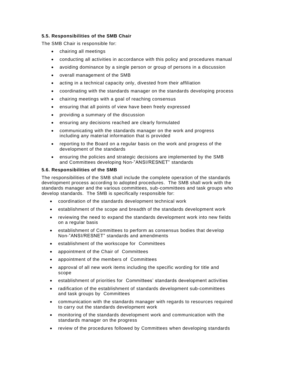#### <span id="page-11-0"></span>**5.5. Responsibilities of the SMB Chair**

The SMB Chair is responsible for:

- chairing all meetings
- conducting all activities in accordance with this policy and procedures manual
- avoiding dominance by a single person or group of persons in a discussion
- overall management of the SMB
- acting in a technical capacity only, divested from their affiliation
- coordinating with the standards manager on the standards developing process
- chairing meetings with a goal of reaching consensus
- ensuring that all points of view have been freely expressed
- providing a summary of the discussion
- ensuring any decisions reached are clearly formulated
- communicating with the standards manager on the work and progress including any material information that is provided
- reporting to the Board on a regular basis on the work and progress of the development of the standards
- ensuring the policies and strategic decisions are implemented by the SMB and Committees developing Non-"ANSI/RESNET" standards

#### <span id="page-11-1"></span>**5.6. Responsibilities of the SMB**

The responsibilities of the SMB shall include the complete operation of the standards development process according to adopted procedures. The SMB shall work with the standards manager and the various committees, sub-committees and task groups who develop standards. The SMB is specifically responsible for:

- coordination of the standards development technical work
- establishment of the scope and breadth of the standards development work
- reviewing the need to expand the standards development work into new fields on a regular basis
- establishment of Committees to perform as consensus bodies that develop Non-"ANSI/RESNET" standards and amendments
- establishment of the workscope for Committees
- appointment of the Chair of Committees
- appointment of the members of Committees
- approval of all new work items including the specific wording for title and scope
- establishment of priorities for Committees' standards development activities
- radification of the establishment of standards development sub-committees and task groups by Committees
- communication with the standards manager with regards to resources required to carry out the standards development work
- monitoring of the standards development work and communication with the standards manager on the progress
- review of the procedures followed by Committees when developing standards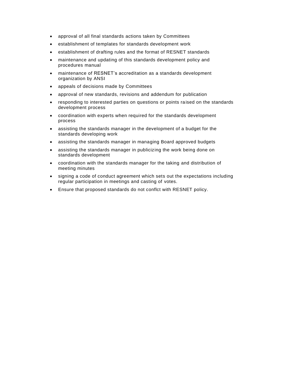- approval of all final standards actions taken by Committees
- establishment of templates for standards development work
- establishment of drafting rules and the format of RESNET standards
- maintenance and updating of this standards development policy and procedures manual
- maintenance of RESNET's accreditation as a standards development organization by ANSI
- appeals of decisions made by Committees
- approval of new standards, revisions and addendum for publication
- responding to interested parties on questions or points raised on the standards development process
- coordination with experts when required for the standards development process
- assisting the standards manager in the development of a budget for the standards developing work
- assisting the standards manager in managing Board approved budgets
- assisting the standards manager in publicizing the work being done on standards development
- coordination with the standards manager for the taking and distribution of meeting minutes
- signing a code of conduct agreement which sets out the expectations including regular participation in meetings and casting of votes.
- Ensure that proposed standards do not conflct with RESNET policy.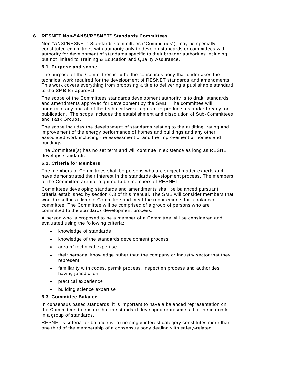#### <span id="page-13-0"></span>**6. RESNET Non-"ANSI/RESNET" Standards Committees**

Non-"ANSI/RESNET" Standards Committees ("Committees"), may be specially constituted committees with authority only to develop standards or committees with authority for development of standards specific to their broader authorities including but not limited to Training & Education and Quality Assurance.

#### <span id="page-13-1"></span>**6.1. Purpose and scope**

The purpose of the Committees is to be the consensus body that undertakes the technical work required for the development of RESNET standards and amendments. This work covers everything from proposing a title to delivering a publishable standard to the SMB for approval.

The scope of the Committees standards development authority is to draft standards and amendments approved for development by the SMB. The committee will undertake any and all of the technical work required to produce a standard ready for publication. The scope includes the establishment and dissolution of Sub-Committees and Task Groups.

The scope includes the development of standards relating to the auditing, rating and improvement of the energy performance of homes and buildings and any other associated work including the assessment of and the improvement of homes and buildings.

The Committee(s) has no set term and will continue in existence as long as RESNET develops standards.

#### <span id="page-13-2"></span>**6.2. Criteria for Members**

The members of Committees shall be persons who are subject matter experts and have demonstrated their interest in the standards development process. The members of the Committee are not required to be members of RESNET.

Committees developing standards and amendments shall be balanced pursuant criteria established by section 6.3 of this manual. The SMB will consider members that would result in a diverse Committee and meet the requirements for a balanced committee. The Committee will be comprised of a group of persons who are committed to the standards development process.

A person who is proposed to be a member of a Committee will be considered and evaluated using the following criteria:

- knowledge of standards
- knowledge of the standards development process
- area of technical expertise
- their personal knowledge rather than the company or industry sector that they represent
- familiarity with codes, permit process, inspection process and authorities having jurisdiction
- practical experience
- building science expertise

#### <span id="page-13-3"></span>**6.3. Committee Balance**

In consensus based standards, it is important to have a balanced representation on the Committees to ensure that the standard developed represents all of the interests in a group of standards.

RESNET's criteria for balance is: a) no single interest category constitutes more than one third of the membership of a consensus body dealing with safety -related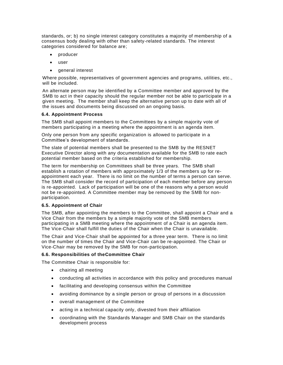standards, or; b) no single interest category constitutes a majority of membership of a consensus body dealing with other than safety-related standards. The interest categories considered for balance are;

- producer
- user
- general interest

Where possible, representatives of government agencies and programs, utilities, etc., will be included.

An alternate person may be identified by a Committee member and approved by the SMB to act in their capacity should the regular member not be able to participate in a given meeting. The member shall keep the alternative person up to date with all of the issues and documents being discussed on an ongoing basis.

#### <span id="page-14-0"></span>**6.4. Appointment Process**

The SMB shall appoint members to the Committees by a simple majority vote of members participating in a meeting where the appointment is an agenda item.

Only one person from any specific organization is allowed to participate in a Committee's development of standards.

The slate of potential members shall be presented to the SMB by the RESNET Executive Director along with any documentation available for the SMB to rate each potential member based on the criteria established for membership.

The term for membership on Committees shall be three years. The SMB shall establish a rotation of members with approximately 1/3 of the members up for reappointment each year. There is no limit on the number of terms a person can serve. The SMB shall consider the record of participation of each member before any person is re-appointed. Lack of participation will be one of the reasons why a person would not be re-appointed. A Committee member may be removed by the SMB for nonparticipation.

#### <span id="page-14-1"></span>**6.5. Appointment of Chair**

The SMB, after appointing the members to the Committee, shall appoint a Chair and a Vice Chair from the members by a simple majority vote of the SMB members participating in a SMB meeting where the appointment of a Chair is an agenda item. The Vice-Chair shall fulfill the duties of the Chair when the Chair is unavailable.

The Chair and Vice-Chair shall be appointed for a three year term. There is no limit on the number of times the Chair and Vice-Chair can be re-appointed. The Chair or Vice-Chair may be removed by the SMB for non-participation.

#### <span id="page-14-2"></span>**6.6. Responsibilities of theCommittee Chair**

The Committee Chair is responsible for:

- chairing all meeting
- conducting all activities in accordance with this policy and procedures manual
- facilitating and developing consensus within the Committee
- avoiding dominance by a single person or group of persons in a discussion
- overall management of the Committee
- acting in a technical capacity only, divested from their affiliation
- coordinating with the Standards Manager and SMB Chair on the standards development process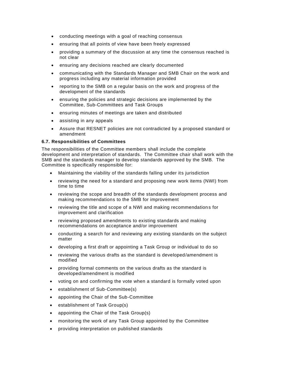- conducting meetings with a goal of reaching consensus
- ensuring that all points of view have been freely expressed
- providing a summary of the discussion at any time the consensus reached is not clear
- ensuring any decisions reached are clearly documented
- communicating with the Standards Manager and SMB Chair on the work and progress including any material information provided
- reporting to the SMB on a regular basis on the work and progress of the development of the standards
- ensuring the policies and strategic decisions are implemented by the Committee, Sub-Committees and Task Groups
- ensuring minutes of meetings are taken and distributed
- assisting in any appeals
- Assure that RESNET policies are not contradicted by a proposed standard or amendment

#### <span id="page-15-0"></span>**6.7. Responsibilities of Committees**

The responsibilities of the Committee members shall include the complete development and interpretation of standards. The Committee chair shall work with the SMB and the standards manager to develop standards approved by the SMB. The Committee is specifically responsible for:

- Maintaining the viability of the standards falling under its jurisdiction
- reviewing the need for a standard and proposing new work items (NWI) from time to time
- reviewing the scope and breadth of the standards development process and making recommendations to the SMB for improvement
- reviewing the title and scope of a NWI and making recommendations for improvement and clarification
- reviewing proposed amendments to existing standards and making recommendations on acceptance and/or improvement
- conducting a search for and reviewing any existing standards on the subject matter
- developing a first draft or appointing a Task Group or individual to do so
- reviewing the various drafts as the standard is developed/amendment is modified
- providing formal comments on the various drafts as the standard is developed/amendment is modified
- voting on and confirming the vote when a standard is formally voted upon
- establishment of Sub-Committee(s)
- appointing the Chair of the Sub-Committee
- establishment of Task Group(s)
- appointing the Chair of the Task Group(s)
- monitoring the work of any Task Group appointed by the Committee
- providing interpretation on published standards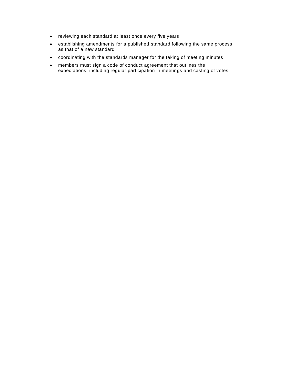- reviewing each standard at least once every five years
- establishing amendments for a published standard following the same process as that of a new standard
- coordinating with the standards manager for the taking of meeting minutes
- members must sign a code of conduct agreement that outlines the expectations, including regular participation in meetings and casting of votes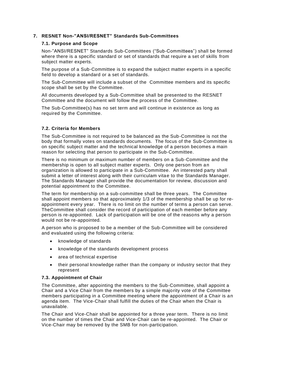#### <span id="page-17-1"></span><span id="page-17-0"></span>**7. RESNET Non-"ANSI/RESNET" Standards Sub-Committees**

#### **7.1. Purpose and Scope**

Non-"ANSI/RESNET" Standards Sub-Committees ("Sub-Committees") shall be formed where there is a specific standard or set of standards that require a set of skills from subject matter experts.

The purpose of a Sub-Committee is to expand the subject matter experts in a specific field to develop a standard or a set of standards.

The Sub-Committee will include a subset of the Committee members and its specific scope shall be set by the Committee.

All documents developed by a Sub-Committee shall be presented to the RESNET Committee and the document will follow the process of the Committee.

The Sub-Committee(s) has no set term and will continue in existence as long as required by the Committee.

#### <span id="page-17-2"></span>**7.2. Criteria for Members**

The Sub-Committee is not required to be balanced as the Sub-Committee is not the body that formally votes on standards documents. The focus of the Sub-Committee is on specific subject matter and the technical knowledge of a person becomes a main reason for selecting that person to participate in the Sub-Committee.

There is no minimum or maximum number of members on a Sub-Committee and the membership is open to all subject matter experts. Only one person from an organization is allowed to participate in a Sub-Committee. An interested party shall submit a letter of interest along with their curriculam vitae to the Standards Manager. The Standards Manager shall provide the documentation for review, discussion and potential appointment to the Committee.

The term for membership on a sub-committee shall be three years. The Committee shall appoint members so that approximately 1/3 of the membership shall be up for reappointment every year. There is no limit on the number of terms a person can serve. TheCommittee shall consider the record of participation of each member before any person is re-appointed. Lack of participation will be one of the reasons why a person would not be re-appointed.

A person who is proposed to be a member of the Sub-Committee will be considered and evaluated using the following criteria:

- knowledge of standards
- knowledge of the standards development process
- area of technical expertise
- their personal knowledge rather than the company or industry sector that they represent

#### <span id="page-17-3"></span>**7.3. Appointment of Chair**

The Committee, after appointing the members to the Sub-Committee, shall appoint a Chair and a Vice Chair from the members by a simple majority vote of the Committee members participating in a Committee meeting where the appointment of a Chair is an agenda item. The Vice-Chair shall fulfill the duties of the Chair when the Chair is unavailable.

The Chair and Vice-Chair shall be appointed for a three year term. There is no limit on the number of times the Chair and Vice-Chair can be re-appointed. The Chair or Vice-Chair may be removed by the SMB for non-participation.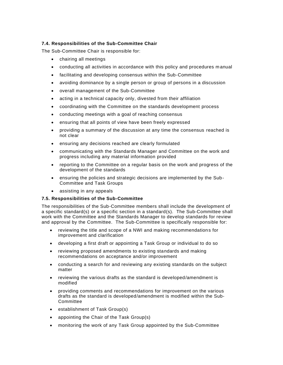#### <span id="page-18-0"></span>**7.4. Responsibilities of the Sub-Committee Chair**

The Sub-Committee Chair is responsible for:

- chairing all meetings
- conducting all activities in accordance with this policy and procedures m anual
- facilitating and developing consensus within the Sub-Committee
- avoiding dominance by a single person or group of persons in a discussion
- overall management of the Sub-Committee
- acting in a technical capacity only, divested from their affiliation
- coordinating with the Committee on the standards development process
- conducting meetings with a goal of reaching consensus
- ensuring that all points of view have been freely expressed
- providing a summary of the discussion at any time the consensus reached is not clear
- ensuring any decisions reached are clearly formulated
- communicating with the Standards Manager and Committee on the work and progress including any material information provided
- reporting to the Committee on a regular basis on the work and progress of the development of the standards
- ensuring the policies and strategic decisions are implemented by the Sub-Committee and Task Groups
- assisting in any appeals

#### <span id="page-18-1"></span>**7.5. Responsibilities of the Sub-Committee**

The responsibilities of the Sub-Committee members shall include the development of a specific standard(s) or a specific section in a standard(s). The Sub-Committee shall work with the Committee and the Standards Manager to develop standards for review and approval by the Committee. The Sub-Committee is specifically responsible for:

- reviewing the title and scope of a NWI and making recommendations for improvement and clarification
- developing a first draft or appointing a Task Group or individual to do so
- reviewing proposed amendments to existing standards and making recommendations on acceptance and/or improvement
- conducting a search for and reviewing any existing standards on the subject matter
- reviewing the various drafts as the standard is developed/amendment is modified
- providing comments and recommendations for improvement on the various drafts as the standard is developed/amendment is modified within the Sub-Committee
- establishment of Task Group(s)
- appointing the Chair of the Task Group(s)
- monitoring the work of any Task Group appointed by the Sub-Committee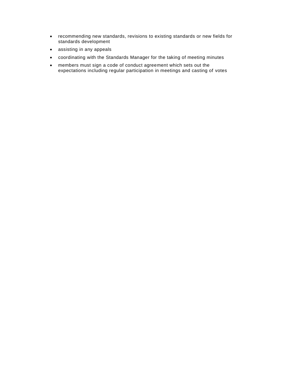- recommending new standards, revisions to existing standards or new fields for standards development
- assisting in any appeals
- coordinating with the Standards Manager for the taking of meeting minutes
- members must sign a code of conduct agreement which sets out the expectations including regular participation in meetings and casting of votes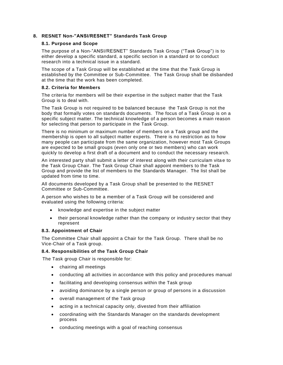#### <span id="page-20-1"></span><span id="page-20-0"></span>**8. RESNET Non-"ANSI/RESNET" Standards Task Group**

#### **8.1. Purpose and Scope**

The purpose of a Non-"ANSI/RESNET" Standards Task Group ("Task Group") is to either develop a specific standard, a specific section in a standard or to conduct research into a technical issue in a standard.

The scope of a Task Group will be established at the time that the Task Group is established by the Committee or Sub-Committee. The Task Group shall be disbanded at the time that the work has been completed.

#### <span id="page-20-2"></span>**8.2. Criteria for Members**

The criteria for members will be their expertise in the subject matter that the Task Group is to deal with.

The Task Group is not required to be balanced because the Task Group is not the body that formally votes on standards documents. The focus of a Task Group is on a specific subject matter. The technical knowledge of a person becomes a main reason for selecting that person to participate in the Task Group.

There is no minimum or maximum number of members on a Task group and the membership is open to all subject matter experts. There is no restriction as to how many people can participate from the same organization, however most Task Groups are expected to be small groups (even only one or two members) who can work quickly to develop a first draft of a document and to conduct the necessary research.

An interested party shall submit a letter of interest along with their curriculam vita e to the Task Group Chair. The Task Group Chair shall appoint members to the Task Group and provide the list of members to the Standards Manager. The list shall be updated from time to time.

All documents developed by a Task Group shall be presented to the RESNET Committee or Sub-Committee.

A person who wishes to be a member of a Task Group will be considered and evaluated using the following criteria:

- knowledge and expertise in the subject matter
- their personal knowledge rather than the company or industry sector that they represent

#### <span id="page-20-3"></span>**8.3. Appointment of Chair**

The Committee Chair shall appoint a Chair for the Task Group. There shall be no Vice-Chair of a Task group.

#### <span id="page-20-4"></span>**8.4. Responsibilities of the Task Group Chair**

The Task group Chair is responsible for:

- chairing all meetings
- conducting all activities in accordance with this policy and procedures manual
- facilitating and developing consensus within the Task group
- avoiding dominance by a single person or group of persons in a discussion
- overall management of the Task group
- acting in a technical capacity only, divested from their affiliation
- coordinating with the Standards Manager on the standards development process
- conducting meetings with a goal of reaching consensus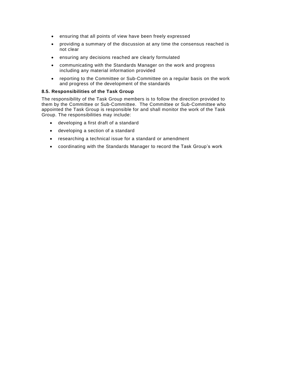- ensuring that all points of view have been freely expressed
- providing a summary of the discussion at any time the consensus reached is not clear
- ensuring any decisions reached are clearly formulated
- communicating with the Standards Manager on the work and progress including any material information provided
- reporting to the Committee or Sub-Committee on a regular basis on the work and progress of the development of the standards

#### <span id="page-21-0"></span>**8.5. Responsibilities of the Task Group**

The responsibility of the Task Group members is to follow the direction provided to them by the Committee or Sub-Committee. The Committee or Sub-Committee who appointed the Task Group is responsible for and shall monitor the work of the Task Group. The responsibilities may include:

- developing a first draft of a standard
- developing a section of a standard
- researching a technical issue for a standard or amendment
- coordinating with the Standards Manager to record the Task Group's work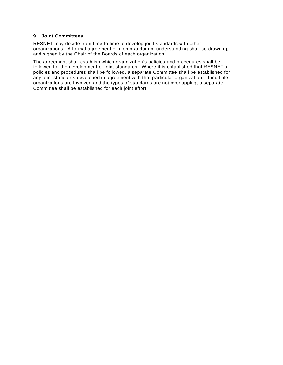#### <span id="page-22-0"></span>**9. Joint Committees**

RESNET may decide from time to time to develop joint standards with other organizations. A formal agreement or memorandum of understanding shall be drawn up and signed by the Chair of the Boards of each organization.

The agreement shall establish which organization's policies and procedures shall be followed for the development of joint standards. Where it is established that RESNET's policies and procedures shall be followed, a separate Committee shall be established for any joint standards developed in agreement with that particular organization. If multiple organizations are involved and the types of standards are not overlapping, a separate Committee shall be established for each joint effort.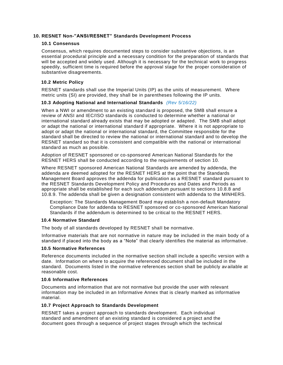#### <span id="page-23-0"></span>**10. RESNET Non-"ANSI/RESNET" Standards Development Process**

#### <span id="page-23-1"></span>**10.1 Consensus**

Consensus, which requires documented steps to consider substantive objections, is an essential procedural principle and a necessary condition for the preparation of standards that will be accepted and widely used. Although it is necessary for the technical work to progress speedily, sufficient time is required before the approval stage for the proper consideration of substantive disagreements.

#### <span id="page-23-2"></span>**10.2 Metric Policy**

RESNET standards shall use the Imperial Units (IP) as the units of measurement. Where metric units (SI) are provided, they shall be in parentheses following the IP units.

#### <span id="page-23-3"></span>**10.3 Adopting National and International Standards** *(Rev 5/16/22)*

When a NWI or amendment to an existing standard is proposed, the SMB shall ensure a review of ANSI and IEC/ISO standards is conducted to determine whether a national or international standard already exists that may be adopted or adapted. The SMB shall adopt or adapt the national or international standard if appropriate. Where it is not appropriate to adopt or adapt the national or international standard, the Committee responsible for the standard shall be directed to review the national or international standard and to develop the RESNET standard so that it is consistent and compatible with the national or international standard as much as possible.

Adoption of RESNET sponsored or co-sponsored American National Standards for the RESNET HERS shall be conducted according to the requirements of section 10.

Where RESNET sponsored American National Standards are amended by addenda, the addenda are deemed adopted for the RESNET HERS at the point that the Standards Management Board approves the addenda for publication as a RESNET standard pursuant to the RESNET Standards Development Policy and Procedures and Dates and Periods as appropriate shall be established for each such addendum pursuant to sections 10.8.8 and 10.8.9. The addenda shall be given a designation consistent with addenda to the MINHERS.

Exception: The Standards Management Board may establish a non-default Mandatory Compliance Date for addenda to RESNET sponsored or co-sponsored American National Standards if the addendum is determined to be critical to the RESNET HERS.

#### <span id="page-23-4"></span>**10.4 Normative Standard**

The body of all standards developed by RESNET shall be normative.

Informative materials that are not normative in nature may be included in the main body of a standard if placed into the body as a "Note" that clearly identifies the material as informative.

#### <span id="page-23-5"></span>**10.5 Normative References**

Reference documents included in the normative section shall include a specific version with a date. Information on where to acquire the referenced document shall be included in the standard. Documents listed in the normative references section shall be publicly av ailable at reasonable cost.

#### <span id="page-23-6"></span>**10.6 Informative References**

Documents and information that are not normative but provide the user with relevant information may be included in an Informative Annex that is clearly marked as informative material.

#### <span id="page-23-7"></span>**10.7 Project Approach to Standards Development**

RESNET takes a project approach to standards development. Each individual standard and amendment of an existing standard is considered a project and the document goes through a sequence of project stages through which the technical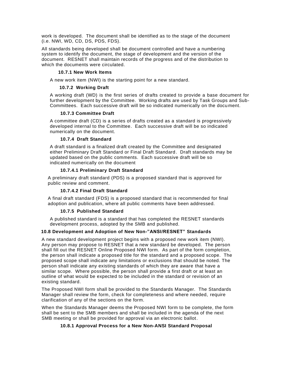work is developed. The document shall be identified as to the stage of the document (i.e. NWI, WD, CD, DS, PDS, FDS).

All standards being developed shall be document controlled and have a numbering system to identify the document, the stage of development and the version of the document. RESNET shall maintain records of the progress and of the distribution to which the documents were circulated.

#### **10.7.1 New Work Items**

<span id="page-24-1"></span><span id="page-24-0"></span>A new work item (NWI) is the starting point for a new standard.

#### **10.7.2 Working Draft**

A working draft (WD) is the first series of drafts created to provide a base document for further development by the Committee. Working drafts are used by Task Groups and Sub-Committees. Each successive draft will be so indicated numerically on the docu ment.

#### **10.7.3 Committee Draft**

<span id="page-24-2"></span>A committee draft (CD) is a series of drafts created as a standard is progressively developed internal to the Committee. Each successive draft will be so indicated numerically on the document.

#### **10.7.4 Draft Standard**

<span id="page-24-3"></span>A draft standard is a finalized draft created by the Committee and designated either Preliminary Draft Standard or Final Draft Standard. Draft standards may be updated based on the public comments. Each successive draft will be so indicated numerically on the document

#### **10.7.4.1 Preliminary Draft Standard**

<span id="page-24-4"></span>A preliminary draft standard (PDS) is a proposed standard that is approved for public review and comment.

#### **10.7.4.2 Final Draft Standard**

<span id="page-24-5"></span>A final draft standard (FDS) is a proposed standard that is recommended for final adoption and publication, where all public comments have been addressed.

#### **10.7.5 Published Standard**

<span id="page-24-6"></span>A published standard is a standard that has completed the RESNET standards development process, adopted by the SMB and published.

#### <span id="page-24-7"></span>**10.8 Development and Adoption of New Non-"ANSI/RESNET" Standards**

A new standard development project begins with a proposed new work item (NWI). Any person may propose to RESNET that a new standard be developed. The person shall fill out the RESNET Online Proposed NWI form. As part of the form completion, the person shall indicate a proposed title for the standard and a proposed scope. The proposed scope shall indicate any limitations or exclusions that should be noted. The person shall indicate any existing standards of which they are aware that have a similar scope. Where possible, the person shall provide a first draft or at least an outline of what would be expected to be included in the standard or revision of an existing standard.

The Proposed NWI form shall be provided to the Standards Manager. The Standards Manager shall review the form, check for completeness and where needed, require clarification of any of the sections on the form.

<span id="page-24-8"></span>When the Standards Manager deems the Proposed NWI form to be complete, the form shall be sent to the SMB members and shall be included in the agenda of the next SMB meeting or shall be provided for approval via an electronic ballot.

#### **10.8.1 Approval Process for a New Non-ANSI Standard Proposal**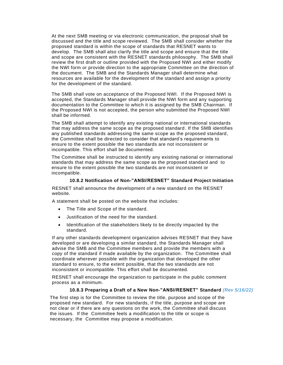At the next SMB meeting or via electronic communication, the proposal shall be discussed and the title and scope reviewed. The SMB shall consider whether the proposed standard is within the scope of standards that RESNET wants to develop. The SMB shall also clarify the title and scope and ensure that the title and scope are consistent with the RESNET standards philosophy. The SMB shall review the first draft or outline provided with the Proposed NWI and either modify the NWI form or provide direction to the appropriate Committee on the direction of the document. The SMB and the Standards Manager shall determine what resources are available for the development of the standard and assign a priority for the development of the standard.

The SMB shall vote on acceptance of the Proposed NWI. If the Proposed NWI is accepted, the Standards Manager shall provide the NWI form and any supporting documentation to the Committee to which it is assigned by the SMB Chairman. If the Proposed NWI is not accepted, the person who submitted the Proposed NWI shall be informed.

The SMB shall attempt to identify any existing national or international standards that may address the same scope as the proposed standard. If the SMB identifies any published standards addressing the same scope as the proposed standard, the Committee shall be directed to consider that standard's requirements to ensure to the extent possible the two standards are not inconsistent or incompatible. This effort shall be documented.

The Committee shall be instructed to identify any existing national or international standards that may address the same scope as the proposed standard and to ensure to the extent possible the two standards are not inconsistent or incompatible.

#### **10.8.2 Notification of Non-"ANSI/RESNET" Standard Project Initiation**

<span id="page-25-0"></span>RESNET shall announce the development of a new standard on the RESNET website.

A statement shall be posted on the website that includes:

- The Title and Scope of the standard.
- Justification of the need for the standard.
- Identification of the stakeholders likely to be directly impacted by the standard.

If any other standards development organization advises RESNET that they have developed or are developing a similar standard, the Standards Manager shall advise the SMB and the Committee members and provide the members with a copy of the standard if made available by the organization. The Committee shall coordinate wherever possible with the organization that developed the other standard to ensure, to the extent possible, that the two standards are not inconsistent or incompatible. This effort shall be documented.

RESNET shall encourage the organization to participate in the public comment process as a minimum.

#### **10.8.3 Preparing a Draft of a New Non-"ANSI/RESNET" Standard** *(Rev 5/16/22)*

<span id="page-25-1"></span>The first step is for the Committee to review the title, purpose and scope of the proposed new standard. For new standards, if the title, purpose and scope are not clear or if there are any questions on the work, the Committee shall discuss the issues. If the Committee feels a modification to the title or scope is necessary, the Committee may propose a modification.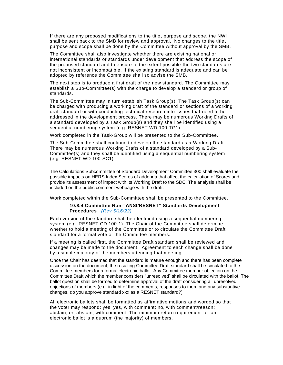If there are any proposed modifications to the title, purpose and scope, the NWI shall be sent back to the SMB for review and approval. No changes to the title , purpose and scope shall be done by the Committee without approval by the SMB.

The Committee shall also investigate whether there are existing national or international standards or standards under development that address the scope of the proposed standard and to ensure to the extent possible the two standards are not inconsistent or incompatible. If the existing standard is adequate and can be adopted by reference the Committee shall so advise the SMB.

The next step is to produce a first draft of the new standard. The Committee may establish a Sub-Committee(s) with the charge to develop a standard or group of standards.

The Sub-Committee may in turn establish Task Group(s). The Task Group(s) can be charged with producing a working draft of the standard or sections of a working draft standard or with conducting technical research into issues that need to be addressed in the development process. There may be numerous Working Drafts of a standard developed by a Task Group(s) and they shall be identified using a sequential numbering system (e.g. RESNET WD 100-TG1).

Work completed in the Task-Group will be presented to the Sub-Committee.

The Sub-Committee shall continue to develop the standard as a Working Draft. There may be numerous Working Drafts of a standard developed by a Sub-Committee(s) and they shall be identified using a sequential numbering system (e.g. RESNET WD 100-SC1).

The Calculations Subcommittee of Standard Development Committee 300 shall evaluate the possible impacts on HERS Index Scores of addenda that affect the calculation of Scores and provide its assessment of impact with its Working Draft to the SDC. The analysis shall be included on the public comment webpage with the draft.

<span id="page-26-0"></span>Work completed within the Sub-Committee shall be presented to the Committee.

#### **10.8.4 Committee Non-"ANSI/RESNET" Standards Development Procedures** *(Rev 5/16/22)*

Each version of the standard shall be identified using a sequential numbering system (e.g. RESNET CD 100-1). The Chair of the Committee shall determine whether to hold a meeting of the Committee or to circulate the Committee Draft standard for a formal vote of the Committee members.

If a meeting is called first, the Committee Draft standard shall be reviewed and changes may be made to the document. Agreement to each change shall be done by a simple majority of the members attending that meeting.

Once the Chair has deemed that the standard is mature enough and there has been complete discussion on the document, the resulting Committee Draft standard shall be circulated to the Committee members for a formal electronic ballot. Any Committee member objection on the Committee Draft which the member considers "unresolved" shall be circulated with the ballot. The ballot question shall be formed to determine approval of the draft considering all unresolved objections of members (e.g. in light of the comments, responses to them and any substantive changes, do you approve standard xxx as a RESNET standard?)

All electronic ballots shall be formatted as affirmative motions and worded so that the voter may respond: yes; yes, with comment; no, with comment/reason; abstain, or; abstain, with comment. The minimum return requirement for an electronic ballot is a quorum (the majority) of members.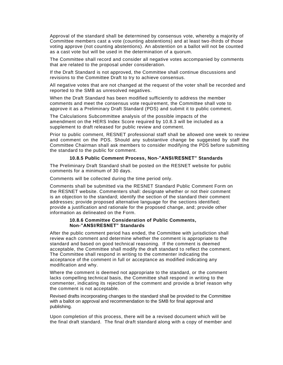Approval of the standard shall be determined by consensus vote, whereby a majority of Committee members cast a vote (counting abstentions) and at least two-thirds of those voting approve (not counting abstentions). An abstention on a ballot will not be counted as a cast vote but will be used in the determination of a quorum.

The Committee shall record and consider all negative votes accompanied by comments that are related to the proposal under consideration.

If the Draft Standard is not approved, the Committee shall continue discussions and revisions to the Committee Draft to try to achieve consensus.

All negative votes that are not changed at the request of the voter shall be recorded and reported to the SMB as unresolved negatives.

When the Draft Standard has been modified sufficiently to address the member comments and meet the consensus vote requirement, the Committee shall vote to approve it as a Preliminary Draft Standard (PDS) and submit it to public comment.

The Calculations Subcommittee analysis of the possible impacts of the amendment on the HERS Index Score required by 10.8.3 will be included as a supplement to draft released for public review and comment.

Prior to public comment, RESNET professional staff shall be allowed one week to review and comment on the PDS. Should any substantive change be suggested by staff the Committee Chairman shall ask members to consider modifying the PDS before submitting the standard to the public for comment.

#### **10.8.5 Public Comment Process, Non-"ANSI/RESNET" Standards**

<span id="page-27-0"></span>The Preliminary Draft Standard shall be posted on the RESNET website for public comments for a minimum of 30 days.

Comments will be collected during the time period only.

Comments shall be submitted via the RESNET Standard Public Comment Form on the RESNET website. Commenters shall: designate whether or not their comment is an objection to the standard; identify the section of the standard their comment addresses; provide proposed alternative language for the sections identified; provide a justification and rationale for the proposed change, and; provide other information as delineated on the Form.

#### **10.8.6 Committee Consideration of Public Comments, Non-"ANSI/RESNET" Standards**

<span id="page-27-1"></span>After the public comment period has ended, the Committee with jurisdiction shall review each comment and determine whether the comment is appropriate to the standard and based on good technical reasoning. If the comment is deemed acceptable, the Committee shall modify the draft standard to reflect the comment. The Committee shall respond in writing to the commenter indicating the acceptance of the comment in full or acceptance as modified indicating any modification and why.

Where the comment is deemed not appropriate to the standard, or the comment lacks compelling technical basis, the Committee shall respond in writing to the commenter, indicating its rejection of the comment and provide a brief reason why the comment is not acceptable.

Revised drafts incorporating changes to the standard shall be provided to the Committee with a ballot on approval and recommendation to the SMB for final approval and publishing.

Upon completion of this process, there will be a revised document which will be the final draft standard. The final draft standard along with a copy of member and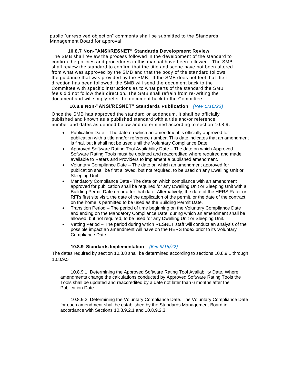public "unresolved objection" comments shall be submitted to the Standards Management Board for approval.

**10.8.7 Non-"ANSI/RESNET" Standards Development Review**  The SMB shall review the process followed in the development of the standard to

confirm the policies and procedures in this manual have been followed. The SMB shall review the standard to confirm that the title and scope have not been altered from what was approved by the SMB and that the body of the standard follows the guidance that was provided by the SMB. If the SMB does not feel that their direction has been followed, the SMB will send the document back to the Committee with specific instructions as to what parts of the standard the SMB feels did not follow their direction. The SMB shall refrain from re-writing the document and will simply refer the document back to the Committee.

#### **10.8.8 Non-"ANSI/RESNET" Standards Publication** *(Rev 5/16/22)*

<span id="page-28-0"></span>Once the SMB has approved the standard or addendum, it shall be officially published and known as a published standard with a title and/or reference number and dates as defined below and determined according to section 10.8.9.

- Publication Date The date on which an amendment is officially approved for publication with a title and/or reference number. This date indicates that an amendment is final, but it shall not be used until the Voluntary Compliance Date.
- Approved Software Rating Tool Availability Date The date on which Approved Software Rating Tools must be updated and reaccredited where required and made available to Raters and Providers to implement a published amendment.
- Voluntary Compliance Date The date on which an amendment approved for publication shall be first allowed, but not required, to be used on any Dwelling Unit or Sleeping Unit.
- Mandatory Compliance Date The date on which compliance with an amendment approved for publication shall be required for any Dwelling Unit or Sleeping Unit with a Building Permit Date on or after that date. Alternatively, the date of the HERS Rater or RFI's first site visit, the date of the application of the permit, or the date of the contract on the home is permitted to be used as the Building Permit Date.
- Transition Period The period of time beginning on the Voluntary Compliance Date and ending on the Mandatory Compliance Date, during which an amendment shall be allowed, but not required, to be used for any Dwelling Unit or Sleeping Unit.
- Vetting Period The period during which RESNET staff will conduct an analysis of the possible impact an amendment will have on the HERS Index prior to its Voluntary Compliance Date.

#### **10.8.9 Standards Implementation** *(Rev 5/16/22)*

<span id="page-28-1"></span>The dates required by section 10.8.8 shall be determined according to sections 10.8.9.1 through 10.8.9.5

10.8.9.1 Determining the Approved Software Rating Tool Availability Date. Where amendments change the calculations conducted by Approved Software Rating Tools the Tools shall be updated and reaccredited by a date not later than 6 months after the Publication Date.

10.8.9.2 Determining the Voluntary Compliance Date. The Voluntary Compliance Date for each amendment shall be established by the Standards Management Board in accordance with Sections 10.8.9.2.1 and 10.8.9.2.3.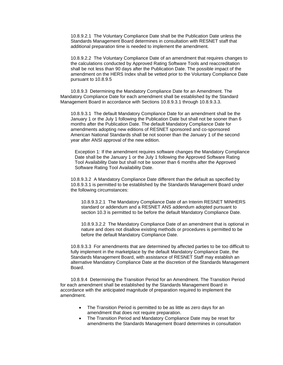10.8.9.2.1 The Voluntary Compliance Date shall be the Publication Date unless the Standards Management Board determines in consultation with RESNET staff that additional preparation time is needed to implement the amendment.

10.8.9.2.2 The Voluntary Compliance Date of an amendment that requires changes to the calculations conducted by Approved Rating Software Tools and reaccreditation shall be not less than 90 days after the Publication Date. The possible impact of the amendment on the HERS Index shall be vetted prior to the Voluntary Compliance Date pursuant to 10.8.9.5

10.8.9.3 Determining the Mandatory Compliance Date for an Amendment. The Mandatory Compliance Date for each amendment shall be established by the Standard Management Board in accordance with Sections 10.8.9.3.1 through 10.8.9.3.3.

10.8.9.3.1 The default Mandatory Compliance Date for an amendment shall be the January 1 or the July 1 following the Publication Date but shall not be sooner than 6 months after the Publication Date. The default Mandatory Compliance Date for amendments adopting new editions of RESNET sponsored and co-sponsored American National Standards shall be not sooner than the January 1 of the second year after ANSI approval of the new edition.

Exception 1: If the amendment requires software changes the Mandatory Compliance Date shall be the January 1 or the July 1 following the Approved Software Rating Tool Availability Date but shall not be sooner than 6 months after the Approved Software Rating Tool Availability Date.

10.8.9.3.2 A Mandatory Compliance Date different than the default as specified by 10.8.9.3.1 is permitted to be established by the Standards Management Board under the following circumstances:

10.8.9.3.2.1 The Mandatory Compliance Date of an Interim RESNET MINHERS standard or addendum and a RESNET ANS addendum adopted pursuant to section 10.3 is permitted to be before the default Mandatory Compliance Date.

10.8.9.3.2.2 The Mandatory Compliance Date of an amendment that is optional in nature and does not disallow existing methods or procedures is permitted to be before the default Mandatory Compliance Date.

10.8.9.3.3 For amendments that are determined by affected parties to be too difficult to fully implement in the marketplace by the default Mandatory Compliance Date, the Standards Management Board, with assistance of RESNET Staff may establish an alternative Mandatory Compliance Date at the discretion of the Standards Management Board.

10.8.9.4 Determining the Transition Period for an Amendment. The Transition Period for each amendment shall be established by the Standards Management Board in accordance with the anticipated magnitude of preparation required to implement the amendment.

- The Transition Period is permitted to be as little as zero days for an amendment that does not require preparation.
- The Transition Period and Mandatory Compliance Date may be reset for amendments the Standards Management Board determines in consultation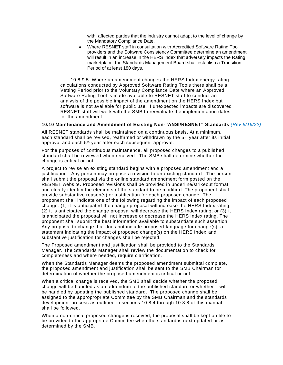with affected parties that the industry cannot adapt to the level of change by the Mandatory Compliance Date.

• Where RESNET staff in consultation with Accredited Software Rating Tool providers and the Software Consistency Committee determine an amendment will result in an increase in the HERS Index that adversely impacts the Rating marketplace, the Standards Management Board shall establish a Transition Period of at least 180 days.

10.8.9.5 Where an amendment changes the HERS Index energy rating calculations conducted by Approved Software Rating Tools there shall be a Vetting Period prior to the Voluntary Compliance Date where an Approved Software Rating Tool is made available to RESNET staff to conduct an analysis of the possible impact of the amendment on the HERS Index but software is not available for public use. If unexpected impacts are discovered RESNET staff will work with the SMB to reevaluate the implementation dates for the amendment.

#### <span id="page-30-0"></span>**10.10 Maintenance and Amendment of Existing Non-"ANSI/RESNET" Standards** *(Rev 5/16/22)*

All RESNET standards shall be maintained on a continuous basis. At a minimum, each standard shall be revised, reaffirmed or withdrawn by the  $5<sup>th</sup>$  year after its initial approval and each 5<sup>th</sup> year after each subsequent approval.

For the purposes of continuous maintanence, all proposed changes to a publis hed standard shall be reviewed when received. The SMB shall determine whether the change is critical or not.

A project to revise an existing standard begins with a proposed amendment and a justification. Any person may propose a revision to an existing standard. The person shall submit the proposal via the online standard amendment form posted on the RESNET website. Proposed revisions shall be provided in underline/strikeout format and clearly identify the elements of the standard to be modified. The proponent shall provide substantive reason(s) or justification for each proposed change. The proponent shall indicate one of the following regarding the impact of each proposed change: (1) it is anticipated the change proposal will increase the HERS Index rating; (2) it is anticipated the change proposal will decrease the HERS Index rating; or (3) it is anticipated the proposal will not increase or decrease the HERS Index rating. The proponent shall submit the best information available to substantiate such assertion. Any proposal to change that does not include proposed language for change(s), a statement indicating the impact of proposed change(s) on the HERS Index and substantive justification for changes shall be rejected.

The Proposed amendment and justification shall be provided to the Standards Manager. The Standards Manager shall review the documentation to check for completeness and where needed, require clarification.

When the Standards Manager deems the proposed amendment submittal complete, the proposed amendment and justification shall be sent to the SMB Chairman for determination of whether the proposed amendment is critical or not.

When a critical change is received, the SMB shall decide whether the proposed change will be handled as an addendum to the published standard or whether it will be handled by updating the published standard. The proposed change shall be assigned to the appropropriate Committee by the SMB Chairman and the standards development process as outlined in sections 10.8.4 through 10.8.8 of this manual shall be followed.

When a non-critical proposed change is received, the proposal shall be kept on file to be provided to the appropriate Committee when the standard is next updated or as determined by the SMB.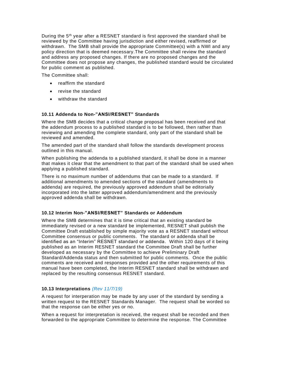During the 5th year after a RESNET standard is first approved the standard shall be reviewed by the Committee having jurisdiction and either revised, reaffirmed or withdrawn. The SMB shall provide the appropriate Committee(s) with a NWI and any policy direction that is deemed necessary.The Committee shall review the standard and address any proposed changes. If there are no proposed changes and the Committee does not propose any changes, the published standard would be circulated for public comment as published.

The Committee shall:

- reaffirm the standard
- revise the standard
- withdraw the standard

#### <span id="page-31-0"></span>**10.11 Addenda to Non-"ANSI/RESNET" Standards**

Where the SMB decides that a critical change proposal has been received and that the addendum process to a published standard is to be followed, then rather than reviewing and amending the complete standard, only part of the standard shall be reviewed and amended.

The amended part of the standard shall follow the standards development process outlined in this manual.

When publishing the addenda to a published standard, it shall be done in a manner that makes it clear that the amendment to that part of the standard shall be used when applying a published standard.

There is no maximum number of addendums that can be made to a standard. If additional amendments to amended sections of the standard (amendments to addenda) are required, the previously approved addendum shall be editorially incorporated into the latter approved addendum/amendment and the previously approved addenda shall be withdrawn.

#### <span id="page-31-1"></span>**10.12 Interim Non-"ANSI/RESNET" Standards or Addendum**

Where the SMB determines that it is time critical that an existing standard be immediately revised or a new standard be implemented, RESNET shall publish the Committee Draft established by simple majority vote as a RESNET standard without Committee consensus or public comments. The standard or addenda shall be identified as an "Interim" RESNET standard or addenda. Within 120 days of it being published as an Interim RESNET standard the Committee Draft shall be further developed as necessary by the Committee to achieve Preliminary Draft Standard/Addenda status and then submitted for public comments. Once the public comments are received and responses provided and the other requirements of this manual have been completed, the Interim RESNET standard shall be withdrawn and replaced by the resulting consensus RESNET standard.

#### <span id="page-31-2"></span>**10.13 Interpretations** *(Rev 11/7/19)*

A request for interperation may be made by any user of the standard by sending a written request to the RESNET Standards Manager. The request shall be worded so that the response can be either yes or no.

When a request for interpretation is received, the request shall be recorded and then forwarded to the appropriate Committee to determine the response. The Committee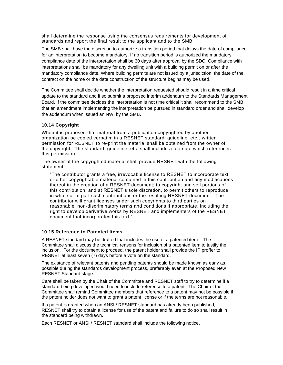shall determine the response using the consensus requirements for development of standards and report the final result to the applicant and to the SMB.

The SMB shall have the discretion to authorize a transition period that delays the date of compliance for an interpretation to become mandatory. If no transition period is authorized the mandatory compliance date of the interpretation shall be 30 days after approval by the SDC. Compliance with interpretations shall be mandatory for any dwelling unit with a building permit on or after the mandatory compliance date. Where building permits are not issued by a jurisdiction, the date of the contract on the home or the date construction of the structure begins may be used.

The Committee shall decide whether the interpretation requested should result in a time critical update to the standard and if so submit a proposed interim addendum to the Standards Management Board. If the committee decides the interpretation is not time critical it shall recommend to the SMB that an amendment implementing the interpretation be pursued in standard order and shall develop the addendum when issued an NWI by the SMB.

#### <span id="page-32-0"></span>**10.14 Copyright**

When it is proposed that material from a publication copyrighted by another organization be copied verbatim in a RESNET standard, guideline, etc., written permission for RESNET to re-print the material shall be obtained from the owner of the copyright. The standard, guideline, etc. shall include a footnote which references this permission.

The owner of the copyrighted material shall provide RESNET with the following statement:

"The contributor grants a free, irrevocable license to RESNET to incorporate text or other copyrightable material contained in this contribution and any modifications thereof in the creation of a RESNET document; to copyright and sell portions of this contribution; and at RESNET's sole discretion, to permit others to reproduce in whole or in part such contributions or the resulting RESNET document. The contributor will grant licenses under such copyrights to third parties on reasonable, non-discriminatory terms and conditions if appropriate, including the right to develop derivative works by RESNET and implementers of the RESNET document that incorporates this text."

#### <span id="page-32-1"></span>**10.15 Reference to Patented Items**

A RESNET standard may be drafted that includes the use of a patented item. The Committee shall discuss the technical reasons for inclusion of a patented item to justify the inclusion. For the document to proceed, the patent holder shall provide the IP proffer to RESNET at least seven (7) days before a vote on the standard.

The existance of relevant patents and pending patents should be made known as early as possible during the standards development process, preferably even at the Proposed New RESNET Standard stage.

Care shall be taken by the Chair of the Committee and RESNET staff to try to determine if a standard being developed would need to include reference to a patent. The Chair of the Committee shall remind Committee members that reference to a patent may not be possible if the patent holder does not want to grant a patent license or if the terms are not reasonable.

If a patent is granted when an ANSI / RESNET standard has already been published, RESNET shall try to obtain a license for use of the patent and failure to do so shall result in the standard being withdrawn.

Each RESNET or ANSI / RESNET standard shall include the following notice.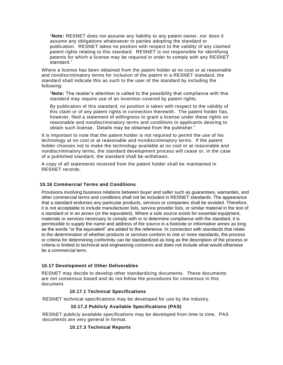"**Note:** RESNET does not assume any liability to any patent owner, nor does it assume any obligations whatsoever to parties adopting the standard or publication. RESNET takes no position with respect to the validity of any claimed patent rights relating to this standard. RESNET is not responsible for identifying patents for which a license may be required in order to comply with any RESNET standard."

Where a license has been obtained from the patent holder at no cost or at reasonable and nondiscriminatory terms for inclusion of the patent in a RESNET standard, the standard shall indicate this as such to the user of the standard by including the following:

"**Note:** The reader's attention is called to the possibility that compliance with this standard may require use of an invention covered by patent rights.

By publication of this standard, no position is taken with respect to the validity of this claim or of any patent rights in connection therewith. The patent holder has, however, filed a statement of willingness to grant a license under these rights on reasonable and nondiscriminatory terms and conditions to applicants desiring to obtain such license. Details may be obtained from the publisher."

It is important to note that the patent holder is not required to permit the use of his technology at no cost or at reasonable and nondiscriminatory terms. If the patent holder chooses not to make the technology available at no cost or at reasonable and nondiscriminatory terms, the standard development process will cease or, in the case of a published standard, the standard shall be withdrawn.

A copy of all statements received from the patent holder shall be maintained in RESNET records.

#### <span id="page-33-0"></span>**10.16 Commercial Terms and Conditions**

Provisions involving business relations between buyer and seller such as guarantees, warranties, and other commercial terms and conditions shall not be included in RESNET standards. The appearance that a standard endorses any particular products, services or companies shall be avoided. Therefore, it is not acceptable to include manufacturer lists, service provider lists, or similar material in the text of a standard or in an annex (or the equivalent). Where a sole source exists for essential equipment, materials or services necessary to comply with or to determine compliance with the standard, it is permissible to supply the name and address of the source in a footnote or informative annex as long as the words "or the equivalent" are added to the reference. In connection with standards that relate to the determination of whether products or services conform to one or more standards, the process or criteria for determining conformity can be standardized as long as the description of the process or criteria is limited to technical and engineering concerns and does not include what would otherwise be a commercial term.

#### <span id="page-33-1"></span>**10.17 Development of Other Deliverables**

RESNET may decide to develop other standardizing documents. These documents are not consensus based and do not follow the procedures for consensus in this document.

#### **10.17.1 Technical Specifications**

<span id="page-33-3"></span><span id="page-33-2"></span>RESNET technical specifications may be developed for use by the industry.

#### **10.17.2 Publicly Available Specifications (PAS)**

<span id="page-33-4"></span>RESNET publicly available specifications may be developed from time to time. PAS documents are very general in format.

#### **10.17.3 Technical Reports**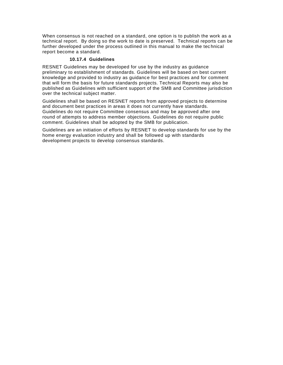<span id="page-34-0"></span>When consensus is not reached on a standard, one option is to publish the work as a technical report. By doing so the work to date is preserved. Technical reports can be further developed under the process outlined in this manual to make the technical report become a standard.

#### **10.17.4 Guidelines**

<span id="page-34-2"></span><span id="page-34-1"></span>RESNET Guidelines may be developed for use by the industry as guidance preliminary to establishment of standards. Guidelines will be based on best current knowledge and provided to industry as guidance for best practices and for comment that will form the basis for future standards projects. Technical Reports may also be published as Guidelines with sufficient support of the SMB and Committee jurisdiction over the technical subject matter.

<span id="page-34-3"></span>Guidelines shall be based on RESNET reports from approved projects to determine and document best practices in areas it does not currently have standards. Guidelines do not require Committee consensus and may be approved after one round of attempts to address member objections. Guidelines do not require public comment. Guidelines shall be adopted by the SMB for publication.

<span id="page-34-4"></span>Guidelines are an initiation of efforts by RESNET to develop standards for use by the home energy evaluation industry and shall be followed up with standards development projects to develop consensus standards.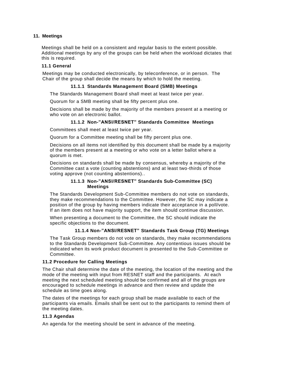#### **11. Meetings**

Meetings shall be held on a consistent and regular basis to the extent possible. Additional meetings by any of the groups can be held when the workload dictates that this is required.

#### <span id="page-35-0"></span>**11.1 General**

<span id="page-35-1"></span>Meetings may be conducted electronically, by teleconference, or in person. The Chair of the group shall decide the means by which to hold the meeting.

#### **11.1.1 Standards Management Board (SMB) Meetings**

The Standards Management Board shall meet at least twice per year.

Quorum for a SMB meeting shall be fifty percent plus one.

Decisions shall be made by the majority of the members present at a meeting or who vote on an electronic ballot.

#### **11.1.2 Non-"ANSI/RESNET" Standards Committee Meetings**

<span id="page-35-2"></span>Committees shall meet at least twice per year.

Quorum for a Committee meeting shall be fifty percent plus one.

Decisions on all items not identified by this document shall be made by a majority of the members present at a meeting or who vote on a letter ballot where a quorum is met.

Decisions on standards shall be made by consensus, whereby a majority of the Committee cast a vote (counting abstentions) and at least two-thirds of those voting approve (not counting abstentions)..

#### **11.1.3 Non-"ANSI/RESNET" Standards Sub-Committee (SC) Meetings**

<span id="page-35-3"></span>The Standards Development Sub-Committee members do not vote on standards, they make recommendations to the Committee. However, the SC may indicate a position of the group by having members indicate their acceptance in a poll/vote. If an item does not have majority support, the item should continue discussion.

When presenting a document to the Committee, the SC should indicate the specific objections to the document.

#### **11.1.4 Non-"ANSI/RESNET" Standards Task Group (TG) Meetings**

<span id="page-35-4"></span>The Task Group members do not vote on standards, they make recommendations to the Standards Development Sub-Committee. Any contentious issues should be indicated when its work product document is presented to the Sub-Committee or Committee.

#### <span id="page-35-5"></span>**11.2 Procedure for Calling Meetings**

The Chair shall determine the date of the meeting, the location of the meeting and the mode of the meeting with input from RESNET staff and the participants. At each meeting the next scheduled meeting should be confirmed and all of the groups are encouraged to schedule meetings in advance and then review and update the schedule as time goes along.

The dates of the meetings for each group shall be made available to each of the participants via emails. Emails shall be sent out to the participants to remind them of the meeting dates.

#### <span id="page-35-6"></span>**11.3 Agendas**

An agenda for the meeting should be sent in advance of the meeting.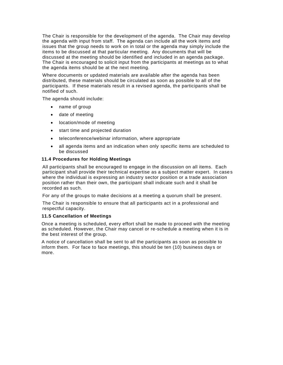The Chair is responsible for the development of the agenda. The Chair may develop the agenda with input from staff. The agenda can include all the work items and issues that the group needs to work on in total or the agenda may simply include the items to be discussed at that particular meeting. Any documents that will be discussed at the meeting should be identified and included in an agenda package. The Chair is encouraged to solicit input from the participants at meetings as to what the agenda items should be at the next meeting.

Where documents or updated materials are available after the agenda has been distributed, these materials should be circulated as soon as possible to all of the participants. If these materials result in a revised agenda, the participants shall be notified of such.

The agenda should include:

- name of group
- date of meeting
- location/mode of meeting
- start time and projected duration
- teleconference/webinar information, where appropriate
- all agenda items and an indication when only specific items are scheduled to be discussed

#### <span id="page-36-0"></span>**11.4 Procedures for Holding Meetings**

All participants shall be encouraged to engage in the discussion on all items. Each participant shall provide their technical expertise as a subject matter expert. In case s where the individual is expressing an industry sector position or a trade association position rather than their own, the participant shall indicate such and it shall be recorded as such.

For any of the groups to make decisions at a meeting a quorum shall be present.

The Chair is responsible to ensure that all participants act in a professional and respectful capacity.

#### <span id="page-36-1"></span>**11.5 Cancellation of Meetings**

Once a meeting is scheduled, every effort shall be made to proceed with the meeting as scheduled. However, the Chair may cancel or re-schedule a meeting when it is in the best interest of the group.

A notice of cancellation shall be sent to all the participants as soon as possible to inform them. For face to face meetings, this should be ten (10) business days or more.